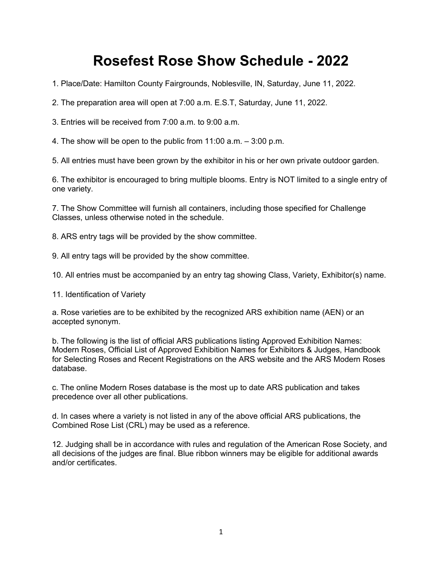# **Rosefest Rose Show Schedule - 2022**

1. Place/Date: Hamilton County Fairgrounds, Noblesville, IN, Saturday, June 11, 2022.

2. The preparation area will open at 7:00 a.m. E.S.T, Saturday, June 11, 2022.

3. Entries will be received from 7:00 a.m. to 9:00 a.m.

4. The show will be open to the public from 11:00 a.m. – 3:00 p.m.

5. All entries must have been grown by the exhibitor in his or her own private outdoor garden.

6. The exhibitor is encouraged to bring multiple blooms. Entry is NOT limited to a single entry of one variety.

7. The Show Committee will furnish all containers, including those specified for Challenge Classes, unless otherwise noted in the schedule.

8. ARS entry tags will be provided by the show committee.

9. All entry tags will be provided by the show committee.

10. All entries must be accompanied by an entry tag showing Class, Variety, Exhibitor(s) name.

11. Identification of Variety

a. Rose varieties are to be exhibited by the recognized ARS exhibition name (AEN) or an accepted synonym.

b. The following is the list of official ARS publications listing Approved Exhibition Names: Modern Roses, Official List of Approved Exhibition Names for Exhibitors & Judges, Handbook for Selecting Roses and Recent Registrations on the ARS website and the ARS Modern Roses database.

c. The online Modern Roses database is the most up to date ARS publication and takes precedence over all other publications.

d. In cases where a variety is not listed in any of the above official ARS publications, the Combined Rose List (CRL) may be used as a reference.

12. Judging shall be in accordance with rules and regulation of the American Rose Society, and all decisions of the judges are final. Blue ribbon winners may be eligible for additional awards and/or certificates.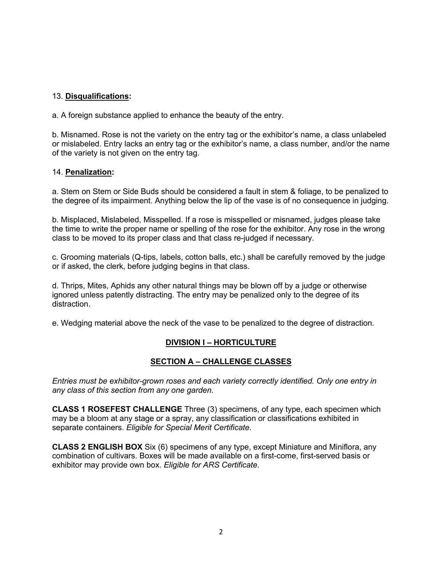# 13. **Disqualifications:**

a. A foreign substance applied to enhance the beauty of the entry.

b. Misnamed. Rose is not the variety on the entry tag or the exhibitor's name, a class unlabeled or mislabeled. Entry lacks an entry tag or the exhibitor's name, a class number, and/or the name of the variety is not given on the entry tag.

## 14. **Penalization:**

a. Stem on Stem or Side Buds should be considered a fault in stem & foliage, to be penalized to the degree of its impairment. Anything below the lip of the vase is of no consequence in judging.

b. Misplaced, Mislabeled, Misspelled. If a rose is misspelled or misnamed, judges please take the time to write the proper name or spelling of the rose for the exhibitor. Any rose in the wrong class to be moved to its proper class and that class re-judged if necessary.

c. Grooming materials (Q-tips, labels, cotton balls, etc.) shall be carefully removed by the judge or if asked, the clerk, before judging begins in that class.

d. Thrips, Mites, Aphids any other natural things may be blown off by a judge or otherwise ignored unless patently distracting. The entry may be penalized only to the degree of its distraction.

e. Wedging material above the neck of the vase to be penalized to the degree of distraction.

# **DIVISION I – HORTICULTURE**

# **SECTION A – CHALLENGE CLASSES**

*Entries must be exhibitor-grown roses and each variety correctly identified. Only one entry in any class of this section from any one garden.* 

**CLASS 1 ROSEFEST CHALLENGE** Three (3) specimens, of any type, each specimen which may be a bloom at any stage or a spray, any classification or classifications exhibited in separate containers. *Eligible for Special Merit Certificate.* 

**CLASS 2 ENGLISH BOX** Six (6) specimens of any type, except Miniature and Miniflora, any combination of cultivars. Boxes will be made available on a first-come, first-served basis or exhibitor may provide own box. *Eligible for ARS Certificate.*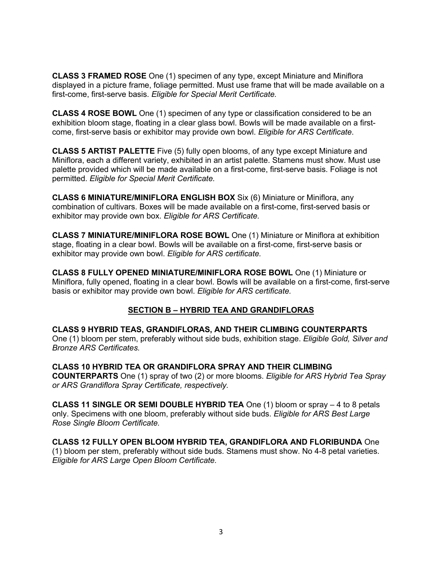**CLASS 3 FRAMED ROSE** One (1) specimen of any type, except Miniature and Miniflora displayed in a picture frame, foliage permitted. Must use frame that will be made available on a first-come, first-serve basis. *Eligible for Special Merit Certificate.* 

**CLASS 4 ROSE BOWL** One (1) specimen of any type or classification considered to be an exhibition bloom stage, floating in a clear glass bowl. Bowls will be made available on a firstcome, first-serve basis or exhibitor may provide own bowl. *Eligible for ARS Certificate*.

**CLASS 5 ARTIST PALETTE** Five (5) fully open blooms, of any type except Miniature and Miniflora, each a different variety, exhibited in an artist palette. Stamens must show. Must use palette provided which will be made available on a first-come, first-serve basis. Foliage is not permitted. *Eligible for Special Merit Certificate.* 

**CLASS 6 MINIATURE/MINIFLORA ENGLISH BOX** Six (6) Miniature or Miniflora, any combination of cultivars. Boxes will be made available on a first-come, first-served basis or exhibitor may provide own box. *Eligible for ARS Certificate.*

**CLASS 7 MINIATURE/MINIFLORA ROSE BOWL** One (1) Miniature or Miniflora at exhibition stage, floating in a clear bowl. Bowls will be available on a first-come, first-serve basis or exhibitor may provide own bowl. *Eligible for ARS certificate.* 

**CLASS 8 FULLY OPENED MINIATURE/MINIFLORA ROSE BOWL** One (1) Miniature or Miniflora, fully opened, floating in a clear bowl. Bowls will be available on a first-come, first-serve basis or exhibitor may provide own bowl. *Eligible for ARS certificate.* 

## **SECTION B – HYBRID TEA AND GRANDIFLORAS**

**CLASS 9 HYBRID TEAS, GRANDIFLORAS, AND THEIR CLIMBING COUNTERPARTS**  One (1) bloom per stem, preferably without side buds, exhibition stage. *Eligible Gold, Silver and Bronze ARS Certificates.* 

**CLASS 10 HYBRID TEA OR GRANDIFLORA SPRAY AND THEIR CLIMBING COUNTERPARTS** One (1) spray of two (2) or more blooms. *Eligible for ARS Hybrid Tea Spray or ARS Grandiflora Spray Certificate, respectively.* 

**CLASS 11 SINGLE OR SEMI DOUBLE HYBRID TEA** One (1) bloom or spray – 4 to 8 petals only. Specimens with one bloom, preferably without side buds. *Eligible for ARS Best Large Rose Single Bloom Certificate.* 

**CLASS 12 FULLY OPEN BLOOM HYBRID TEA, GRANDIFLORA AND FLORIBUNDA** One (1) bloom per stem, preferably without side buds. Stamens must show. No 4-8 petal varieties. *Eligible for ARS Large Open Bloom Certificate.*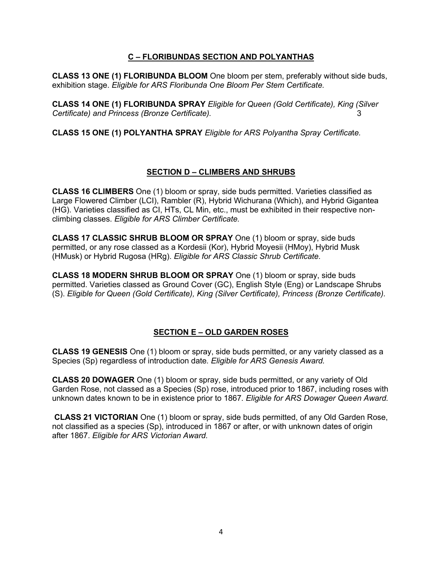# **C – FLORIBUNDAS SECTION AND POLYANTHAS**

**CLASS 13 ONE (1) FLORIBUNDA BLOOM** One bloom per stem, preferably without side buds, exhibition stage. *Eligible for ARS Floribunda One Bloom Per Stem Certificate.* 

**CLASS 14 ONE (1) FLORIBUNDA SPRAY** *Eligible for Queen (Gold Certificate), King (Silver Certificate) and Princess (Bronze Certificate).* 3

**CLASS 15 ONE (1) POLYANTHA SPRAY** *Eligible for ARS Polyantha Spray Certifica*t*e.* 

## **SECTION D – CLIMBERS AND SHRUBS**

**CLASS 16 CLIMBERS** One (1) bloom or spray, side buds permitted. Varieties classified as Large Flowered Climber (LCI), Rambler (R), Hybrid Wichurana (Which), and Hybrid Gigantea (HG). Varieties classified as CI, HTs, CL Min, etc., must be exhibited in their respective nonclimbing classes. *Eligible for ARS Climber Certificate.*

**CLASS 17 CLASSIC SHRUB BLOOM OR SPRAY** One (1) bloom or spray, side buds permitted, or any rose classed as a Kordesii (Kor), Hybrid Moyesii (HMoy), Hybrid Musk (HMusk) or Hybrid Rugosa (HRg). *Eligible for ARS Classic Shrub Certificate.* 

**CLASS 18 MODERN SHRUB BLOOM OR SPRAY** One (1) bloom or spray, side buds permitted. Varieties classed as Ground Cover (GC), English Style (Eng) or Landscape Shrubs (S). *Eligible for Queen (Gold Certificate), King (Silver Certificate), Princess (Bronze Certificate).*

## **SECTION E – OLD GARDEN ROSES**

**CLASS 19 GENESIS** One (1) bloom or spray, side buds permitted, or any variety classed as a Species (Sp) regardless of introduction date*. Eligible for ARS Genesis Award.* 

**CLASS 20 DOWAGER** One (1) bloom or spray, side buds permitted, or any variety of Old Garden Rose, not classed as a Species (Sp) rose, introduced prior to 1867, including roses with unknown dates known to be in existence prior to 1867*. Eligible for ARS Dowager Queen Award.*

**CLASS 21 VICTORIAN** One (1) bloom or spray, side buds permitted, of any Old Garden Rose, not classified as a species (Sp), introduced in 1867 or after, or with unknown dates of origin after 1867. *Eligible for ARS Victorian Award.*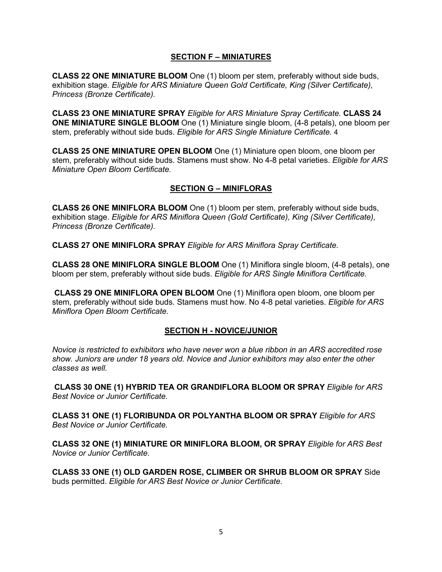## **SECTION F – MINIATURES**

**CLASS 22 ONE MINIATURE BLOOM** One (1) bloom per stem, preferably without side buds, exhibition stage*. Eligible for ARS Miniature Queen Gold Certificate, King (Silver Certificate), Princess (Bronze Certificate).*

**CLASS 23 ONE MINIATURE SPRAY** *Eligible for ARS Miniature Spray Certificate.* **CLASS 24 ONE MINIATURE SINGLE BLOOM** One (1) Miniature single bloom, (4-8 petals), one bloom per stem, preferably without side buds. *Eligible for ARS Single Miniature Certificate.* 4

**CLASS 25 ONE MINIATURE OPEN BLOOM** One (1) Miniature open bloom, one bloom per stem, preferably without side buds. Stamens must show. No 4-8 petal varieties. *Eligible for ARS Miniature Open Bloom Certificate.*

## **SECTION G – MINIFLORAS**

**CLASS 26 ONE MINIFLORA BLOOM** One (1) bloom per stem, preferably without side buds, exhibition stage. *Eligible for ARS Miniflora Queen (Gold Certificate), King (Silver Certificate), Princess (Bronze Certificate).*

**CLASS 27 ONE MINIFLORA SPRAY** *Eligible for ARS Miniflora Spray Certificate.* 

**CLASS 28 ONE MINIFLORA SINGLE BLOOM** One (1) Miniflora single bloom, (4-8 petals), one bloom per stem, preferably without side buds. *Eligible for ARS Single Miniflora Certificate.*

**CLASS 29 ONE MINIFLORA OPEN BLOOM** One (1) Miniflora open bloom, one bloom per stem, preferably without side buds. Stamens must how. No 4-8 petal varieties. *Eligible for ARS Miniflora Open Bloom Certificate.* 

#### **SECTION H - NOVICE/JUNIOR**

*Novice is restricted to exhibitors who have never won a blue ribbon in an ARS accredited rose show. Juniors are under 18 years old. Novice and Junior exhibitors may also enter the other classes as well.*

**CLASS 30 ONE (1) HYBRID TEA OR GRANDIFLORA BLOOM OR SPRAY** *Eligible for ARS Best Novice or Junior Certificate.* 

**CLASS 31 ONE (1) FLORIBUNDA OR POLYANTHA BLOOM OR SPRAY** *Eligible for ARS Best Novice or Junior Certificate.* 

**CLASS 32 ONE (1) MINIATURE OR MINIFLORA BLOOM, OR SPRAY** *Eligible for ARS Best Novice or Junior Certificate.*

**CLASS 33 ONE (1) OLD GARDEN ROSE, CLIMBER OR SHRUB BLOOM OR SPRAY** Side buds permitted. *Eligible for ARS Best Novice or Junior Certificate.*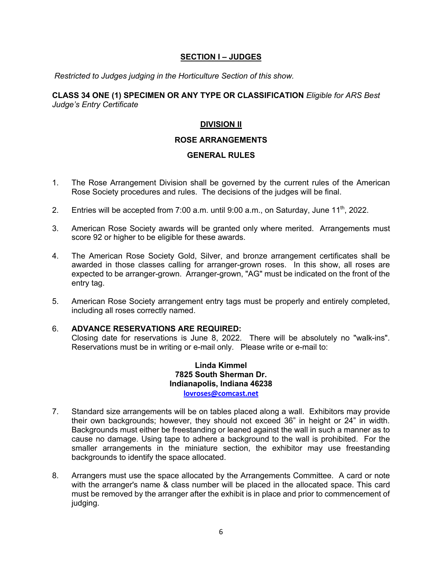## **SECTION I – JUDGES**

*Restricted to Judges judging in the Horticulture Section of this show.* 

## **CLASS 34 ONE (1) SPECIMEN OR ANY TYPE OR CLASSIFICATION** *Eligible for ARS Best Judge's Entry Certificate*

# **DIVISION II**

## **ROSE ARRANGEMENTS**

# **GENERAL RULES**

- 1. The Rose Arrangement Division shall be governed by the current rules of the American Rose Society procedures and rules. The decisions of the judges will be final.
- 2. Entries will be accepted from 7:00 a.m. until 9:00 a.m., on Saturday, June  $11^{th}$ , 2022.
- 3. American Rose Society awards will be granted only where merited. Arrangements must score 92 or higher to be eligible for these awards.
- 4. The American Rose Society Gold, Silver, and bronze arrangement certificates shall be awarded in those classes calling for arranger-grown roses. In this show, all roses are expected to be arranger-grown. Arranger-grown, "AG" must be indicated on the front of the entry tag.
- 5. American Rose Society arrangement entry tags must be properly and entirely completed, including all roses correctly named.

#### 6. **ADVANCE RESERVATIONS ARE REQUIRED:**

Closing date for reservations is June 8, 2022. There will be absolutely no "walk-ins". Reservations must be in writing or e-mail only. Please write or e-mail to:

> **Linda Kimmel 7825 South Sherman Dr. Indianapolis, Indiana 46238 lovroses@comcast.net**

- 7. Standard size arrangements will be on tables placed along a wall. Exhibitors may provide their own backgrounds; however, they should not exceed 36" in height or 24" in width. Backgrounds must either be freestanding or leaned against the wall in such a manner as to cause no damage. Using tape to adhere a background to the wall is prohibited. For the smaller arrangements in the miniature section, the exhibitor may use freestanding backgrounds to identify the space allocated.
- 8. Arrangers must use the space allocated by the Arrangements Committee. A card or note with the arranger's name & class number will be placed in the allocated space. This card must be removed by the arranger after the exhibit is in place and prior to commencement of judging.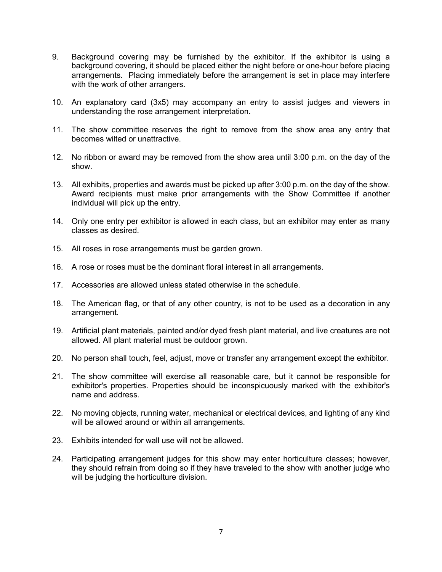- 9. Background covering may be furnished by the exhibitor. If the exhibitor is using a background covering, it should be placed either the night before or one-hour before placing arrangements. Placing immediately before the arrangement is set in place may interfere with the work of other arrangers.
- 10. An explanatory card (3x5) may accompany an entry to assist judges and viewers in understanding the rose arrangement interpretation.
- 11. The show committee reserves the right to remove from the show area any entry that becomes wilted or unattractive.
- 12. No ribbon or award may be removed from the show area until 3:00 p.m. on the day of the show.
- 13. All exhibits, properties and awards must be picked up after 3:00 p.m. on the day of the show. Award recipients must make prior arrangements with the Show Committee if another individual will pick up the entry.
- 14. Only one entry per exhibitor is allowed in each class, but an exhibitor may enter as many classes as desired.
- 15. All roses in rose arrangements must be garden grown.
- 16. A rose or roses must be the dominant floral interest in all arrangements.
- 17. Accessories are allowed unless stated otherwise in the schedule.
- 18. The American flag, or that of any other country, is not to be used as a decoration in any arrangement.
- 19. Artificial plant materials, painted and/or dyed fresh plant material, and live creatures are not allowed. All plant material must be outdoor grown.
- 20. No person shall touch, feel, adjust, move or transfer any arrangement except the exhibitor.
- 21. The show committee will exercise all reasonable care, but it cannot be responsible for exhibitor's properties. Properties should be inconspicuously marked with the exhibitor's name and address.
- 22. No moving objects, running water, mechanical or electrical devices, and lighting of any kind will be allowed around or within all arrangements.
- 23. Exhibits intended for wall use will not be allowed.
- 24. Participating arrangement judges for this show may enter horticulture classes; however, they should refrain from doing so if they have traveled to the show with another judge who will be judging the horticulture division.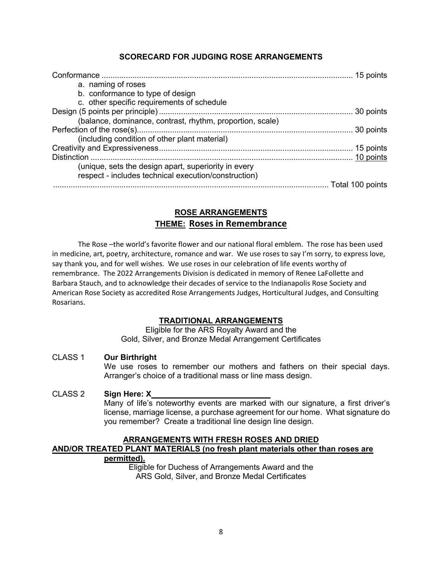# **SCORECARD FOR JUDGING ROSE ARRANGEMENTS**

| a. naming of roses                                        |  |
|-----------------------------------------------------------|--|
| b. conformance to type of design                          |  |
| c. other specific requirements of schedule                |  |
|                                                           |  |
| (balance, dominance, contrast, rhythm, proportion, scale) |  |
|                                                           |  |
| (including condition of other plant material)             |  |
|                                                           |  |
|                                                           |  |
| (unique, sets the design apart, superiority in every      |  |
| respect - includes technical execution/construction)      |  |
|                                                           |  |

# **ROSE ARRANGEMENTS THEME: Roses in Remembrance**

The Rose –the world's favorite flower and our national floral emblem. The rose has been used in medicine, art, poetry, architecture, romance and war. We use roses to say I'm sorry, to express love, say thank you, and for well wishes. We use roses in our celebration of life events worthy of remembrance. The 2022 Arrangements Division is dedicated in memory of Renee LaFollette and Barbara Stauch, and to acknowledge their decades of service to the Indianapolis Rose Society and American Rose Society as accredited Rose Arrangements Judges, Horticultural Judges, and Consulting Rosarians.

#### **TRADITIONAL ARRANGEMENTS**

Eligible for the ARS Royalty Award and the Gold, Silver, and Bronze Medal Arrangement Certificates

## CLASS 1 **Our Birthright**

We use roses to remember our mothers and fathers on their special days. Arranger's choice of a traditional mass or line mass design.

#### CLASS 2 **Sign Here: X**

Many of life's noteworthy events are marked with our signature, a first driver's license, marriage license, a purchase agreement for our home. What signature do you remember? Create a traditional line design line design.

# **ARRANGEMENTS WITH FRESH ROSES AND DRIED AND/OR TREATED PLANT MATERIALS (no fresh plant materials other than roses are permitted).**

Eligible for Duchess of Arrangements Award and the ARS Gold, Silver, and Bronze Medal Certificates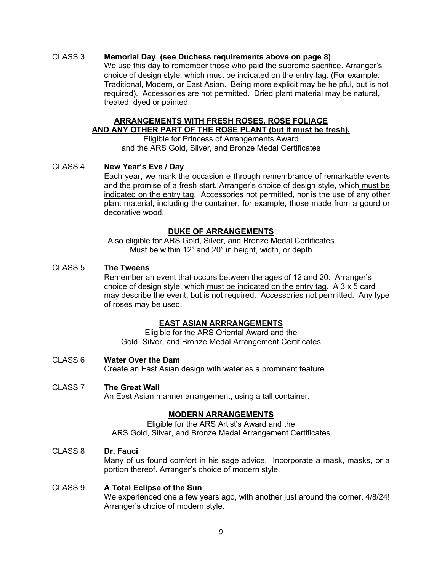## CLASS 3 **Memorial Day (see Duchess requirements above on page 8)**

We use this day to remember those who paid the supreme sacrifice. Arranger's choice of design style, which must be indicated on the entry tag. (For example: Traditional, Modern, or East Asian. Being more explicit may be helpful, but is not required). Accessories are not permitted. Dried plant material may be natural, treated, dyed or painted.

#### **ARRANGEMENTS WITH FRESH ROSES, ROSE FOLIAGE AND ANY OTHER PART OF THE ROSE PLANT (but it must be fresh).**

Eligible for Princess of Arrangements Award and the ARS Gold, Silver, and Bronze Medal Certificates

#### CLASS 4 **New Year's Eve / Day**

Each year, we mark the occasion e through remembrance of remarkable events and the promise of a fresh start. Arranger's choice of design style, which must be indicated on the entry tag. Accessories not permitted, nor is the use of any other plant material, including the container, for example, those made from a gourd or decorative wood.

#### **DUKE OF ARRANGEMENTS**

Also eligible for ARS Gold, Silver, and Bronze Medal Certificates Must be within 12" and 20" in height, width, or depth

#### CLASS 5 **The Tweens**

Remember an event that occurs between the ages of 12 and 20. Arranger's choice of design style, which must be indicated on the entry tag. A 3 x 5 card may describe the event, but is not required. Accessories not permitted. Any type of roses may be used.

#### **EAST ASIAN ARRRANGEMENTS**

Eligible for the ARS Oriental Award and the Gold, Silver, and Bronze Medal Arrangement Certificates

#### CLASS 6 **Water Over the Dam**

Create an East Asian design with water as a prominent feature.

## CLASS 7 **The Great Wall**

An East Asian manner arrangement, using a tall container.

#### **MODERN ARRANGEMENTS**

Eligible for the ARS Artist's Award and the ARS Gold, Silver, and Bronze Medal Arrangement Certificates

#### CLASS 8 **Dr. Fauci**

Many of us found comfort in his sage advice. Incorporate a mask, masks, or a portion thereof. Arranger's choice of modern style.

#### CLASS 9 **A Total Eclipse of the Sun**

We experienced one a few years ago, with another just around the corner,  $4/8/24!$ Arranger's choice of modern style.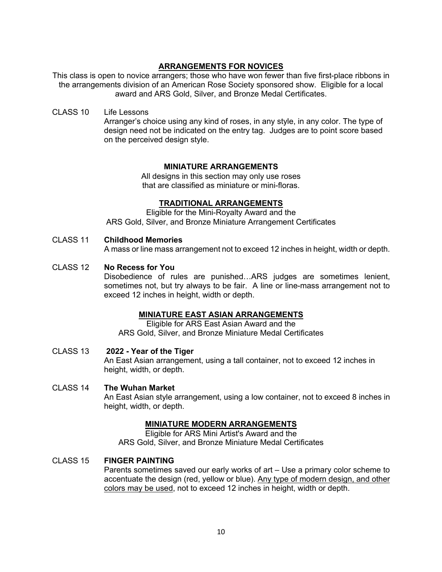## **ARRANGEMENTS FOR NOVICES**

This class is open to novice arrangers; those who have won fewer than five first-place ribbons in the arrangements division of an American Rose Society sponsored show. Eligible for a local award and ARS Gold, Silver, and Bronze Medal Certificates.

CLASS 10 Life Lessons

Arranger's choice using any kind of roses, in any style, in any color. The type of design need not be indicated on the entry tag. Judges are to point score based on the perceived design style.

## **MINIATURE ARRANGEMENTS**

All designs in this section may only use roses that are classified as miniature or mini-floras.

#### **TRADITIONAL ARRANGEMENTS**

Eligible for the Mini-Royalty Award and the ARS Gold, Silver, and Bronze Miniature Arrangement Certificates

## CLASS 11 **Childhood Memories**

A mass or line mass arrangement not to exceed 12 inches in height, width or depth.

#### CLASS 12 **No Recess for You**

Disobedience of rules are punished…ARS judges are sometimes lenient, sometimes not, but try always to be fair. A line or line-mass arrangement not to exceed 12 inches in height, width or depth.

#### **MINIATURE EAST ASIAN ARRANGEMENTS**

Eligible for ARS East Asian Award and the ARS Gold, Silver, and Bronze Miniature Medal Certificates

CLASS 13 **2022 - Year of the Tiger** An East Asian arrangement, using a tall container, not to exceed 12 inches in height, width, or depth.

#### CLASS 14 **The Wuhan Market**

An East Asian style arrangement, using a low container, not to exceed 8 inches in height, width, or depth.

#### **MINIATURE MODERN ARRANGEMENTS**

Eligible for ARS Mini Artist's Award and the ARS Gold, Silver, and Bronze Miniature Medal Certificates

## CLASS 15 **FINGER PAINTING**

Parents sometimes saved our early works of art – Use a primary color scheme to accentuate the design (red, yellow or blue). Any type of modern design, and other colors may be used, not to exceed 12 inches in height, width or depth.